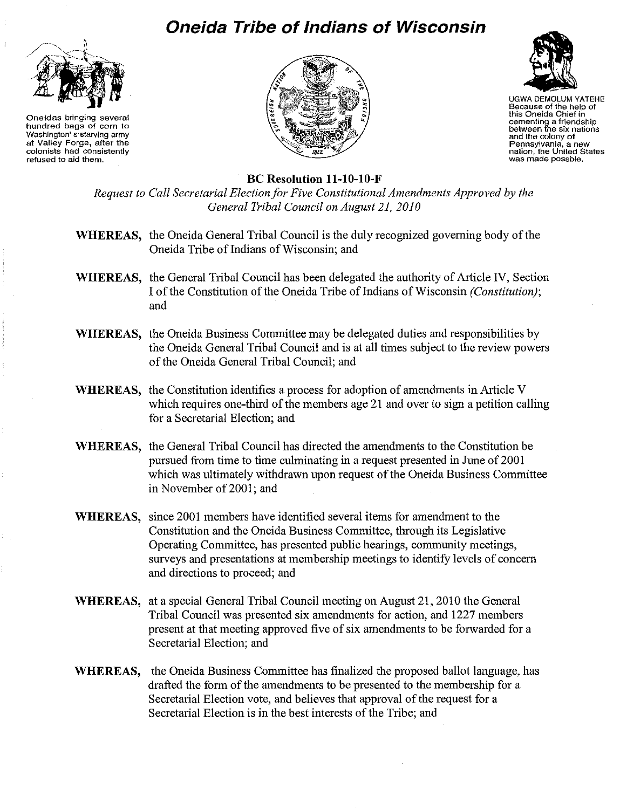## **Oneida Tribe of Indians of Wisconsin**



**Oneidas bringing several hundred bags of corn to Washington's starving army at Valley Forge, after the colonists had consistently refused to aid them.** 





UGWA DEMOLUM YATEHE **Because of the help of this Oneida Chief in cementing a friendship between the six nations and the colony of Pennsylvania, a new nation, the United Stales was made possble.** 

## **Be Resolution ll-lO-lO-F**

*Request to Call Secretarial Election for Five Constitutional Amendments Approved by the General Tribal Council on August 21,2010* 

- **WHEREAS,** the Oneida General Tribal Council is the duly recognized governing body of the Oneida Tribe of Indians of Wisconsin; and
- **WHEREAS,** the General Tribal Council has been delegated the authority of Article IV, Section I of the Constitution of the Oneida Tribe of Indians of Wisconsin *(Constitution)*; and
- **WHEREAS,** the Oneida Business Committee may be delegated duties and responsibilities by the Oneida General Tribal Council and is at all times subject to the review powers of the Oneida General Tribal Council; and
- **WHEREAS,** the Constitution identifies a process for adoption of amendments in Article V which requires one-third of the members age 21 and over to sign a petition calling for a Secretarial Election; and
- **WHEREAS,** the General Tribal Council has directed the amendments to the Constitution be pursued from time to time culminating in a request presented in June of 2001 which was ultimately withdrawn upon request of the Oneida Business Committee in November of 2001; and
- **WHEREAS,** since 2001 members have identified several items for amendment to the Constitution and the Oneida Business Committee, through its Legislative Operating Committee, has presented public hearings, community meetings, surveys and presentations at membership meetings to identify levels of concern and directions to proceed; and
- **WHEREAS,** at a special General Tribal Council meeting on August 21, 2010 the General Tribal Council was presented six amendments for action, and 1227 members present at that meeting approved five of six amendments to be forwarded for a Secretarial Election; and
- **WHEREAS,** the Oneida Business Committee has finalized the proposed ballot language, has drafted the form of the amendments to be presented to the membership for a Secretarial Election vote, and believes that approval of the request for a Secretarial Election is **in** the best interests of the Tribe; and